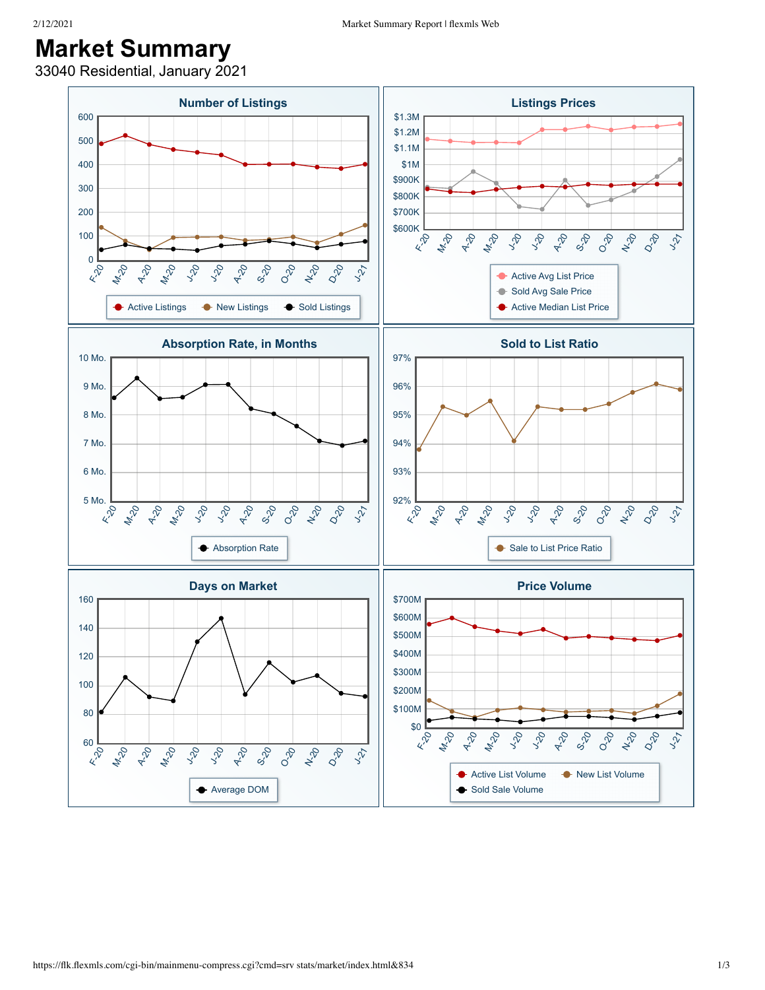## **Market Summary**

33040 Residential, January 2021

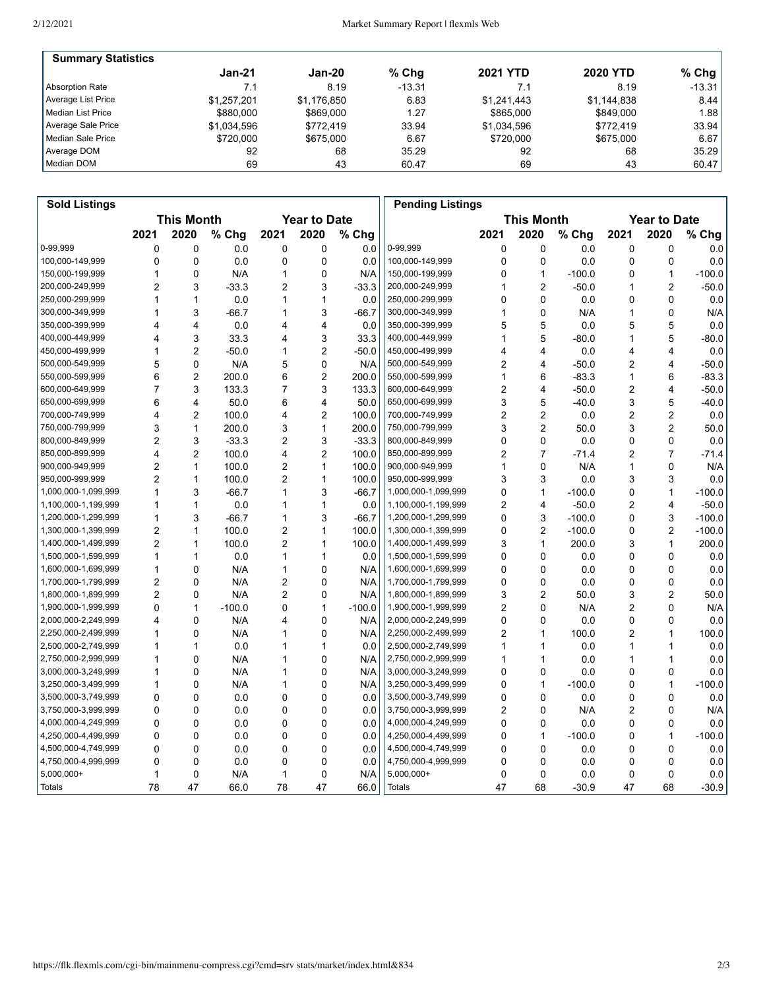| <b>Summary Statistics</b> |             |             |         |                 |                 |           |
|---------------------------|-------------|-------------|---------|-----------------|-----------------|-----------|
|                           | $Jan-21$    | Jan-20      | $%$ Chq | <b>2021 YTD</b> | <b>2020 YTD</b> | % Chg $ $ |
| Absorption Rate           | 7.1         | 8.19        | -13.31  | 7.1             | 8.19            | $-13.31$  |
| Average List Price        | \$1.257.201 | \$1.176.850 | 6.83    | \$1.241.443     | \$1.144.838     | 8.44      |
| l Median List Price       | \$880,000   | \$869,000   | 1.27    | \$865,000       | \$849,000       | 1.88      |
| Average Sale Price        | \$1.034.596 | \$772.419   | 33.94   | \$1.034.596     | \$772.419       | 33.94     |
| Median Sale Price         | \$720,000   | \$675,000   | 6.67    | \$720,000       | \$675,000       | 6.67      |
| Average DOM               | 92          | 68          | 35.29   | 92              | 68              | 35.29     |
| Median DOM                | 69          | 43          | 60.47   | 69              | 43              | 60.47     |

| <b>Sold Listings</b> |                |                   |          |                |                     |          | <b>Pending Listings</b> |                |                   |          |      |                     |          |
|----------------------|----------------|-------------------|----------|----------------|---------------------|----------|-------------------------|----------------|-------------------|----------|------|---------------------|----------|
|                      |                | <b>This Month</b> |          |                | <b>Year to Date</b> |          |                         |                | <b>This Month</b> |          |      | <b>Year to Date</b> |          |
|                      | 2021           | 2020              | % Chg    | 2021           | 2020                | % Chg    |                         | 2021           | 2020              | % Chg    | 2021 | 2020                | % Chg    |
| 0-99,999             | 0              | 0                 | 0.0      | 0              | 0                   | 0.0      | 0-99,999                | 0              | 0                 | 0.0      | 0    | 0                   | 0.0      |
| 100,000-149,999      | 0              | 0                 | 0.0      | 0              | 0                   | 0.0      | 100,000-149,999         | 0              | $\mathbf 0$       | 0.0      | 0    | 0                   | 0.0      |
| 150,000-199,999      | 1              | 0                 | N/A      | 1              | 0                   | N/A      | 150,000-199,999         | 0              | $\mathbf{1}$      | $-100.0$ | 0    | $\mathbf{1}$        | $-100.0$ |
| 200,000-249,999      | 2              | 3                 | $-33.3$  | $\overline{2}$ | 3                   | $-33.3$  | 200,000-249,999         | 1              | $\overline{2}$    | $-50.0$  | 1    | $\overline{2}$      | $-50.0$  |
| 250,000-299,999      | 1              | 1                 | 0.0      | $\mathbf{1}$   | $\mathbf{1}$        | 0.0      | 250,000-299,999         | 0              | $\Omega$          | 0.0      | 0    | 0                   | 0.0      |
| 300,000-349,999      | 1              | 3                 | $-66.7$  | 1              | 3                   | $-66.7$  | 300,000-349,999         | 1              | 0                 | N/A      | 1    | 0                   | N/A      |
| 350,000-399,999      | 4              | 4                 | 0.0      | 4              | $\overline{4}$      | 0.0      | 350,000-399,999         | 5              | 5                 | 0.0      | 5    | 5                   | 0.0      |
| 400,000-449,999      | 4              | 3                 | 33.3     | 4              | 3                   | 33.3     | 400,000-449,999         | 1              | 5                 | $-80.0$  | 1    | 5                   | $-80.0$  |
| 450,000-499,999      | 1              | 2                 | $-50.0$  | 1              | $\overline{2}$      | $-50.0$  | 450,000-499,999         | 4              | 4                 | 0.0      | 4    | 4                   | 0.0      |
| 500,000-549,999      | 5              | 0                 | N/A      | 5              | $\mathbf 0$         | N/A      | 500,000-549,999         | 2              | $\overline{4}$    | $-50.0$  | 2    | 4                   | $-50.0$  |
| 550,000-599,999      | 6              | $\overline{2}$    | 200.0    | 6              | $\overline{2}$      | 200.0    | 550,000-599,999         | 1              | 6                 | $-83.3$  | 1    | 6                   | $-83.3$  |
| 600,000-649,999      | 7              | 3                 | 133.3    | 7              | 3                   | 133.3    | 600,000-649,999         | 2              | $\overline{4}$    | $-50.0$  | 2    | 4                   | $-50.0$  |
| 650,000-699,999      | 6              | 4                 | 50.0     | 6              | $\overline{4}$      | 50.0     | 650,000-699,999         | 3              | 5                 | $-40.0$  | 3    | 5                   | $-40.0$  |
| 700,000-749,999      | 4              | 2                 | 100.0    | 4              | $\overline{2}$      | 100.0    | 700,000-749,999         | 2              | $\overline{2}$    | 0.0      | 2    | 2                   | 0.0      |
| 750,000-799,999      | 3              | 1                 | 200.0    | 3              | $\mathbf{1}$        | 200.0    | 750,000-799,999         | 3              | $\overline{2}$    | 50.0     | 3    | $\overline{2}$      | 50.0     |
| 800,000-849,999      | $\overline{2}$ | 3                 | $-33.3$  | 2              | 3                   | $-33.3$  | 800,000-849,999         | 0              | $\mathbf{0}$      | 0.0      | 0    | 0                   | 0.0      |
| 850,000-899,999      | 4              | $\overline{2}$    | 100.0    | 4              | $\overline{2}$      | 100.0    | 850,000-899,999         | $\overline{2}$ | $\overline{7}$    | $-71.4$  | 2    | $\overline{7}$      | $-71.4$  |
| 900,000-949,999      | 2              | 1                 | 100.0    | $\overline{2}$ | $\mathbf{1}$        | 100.0    | 900,000-949,999         | 1              | $\Omega$          | N/A      | 1    | 0                   | N/A      |
| 950,000-999,999      | 2              | 1                 | 100.0    | $\overline{2}$ | $\mathbf{1}$        | 100.0    | 950,000-999,999         | 3              | 3                 | 0.0      | 3    | 3                   | 0.0      |
| 1,000,000-1,099,999  | 1              | 3                 | $-66.7$  | 1              | 3                   | $-66.7$  | 1,000,000-1,099,999     | 0              | $\mathbf{1}$      | $-100.0$ | 0    | $\mathbf{1}$        | $-100.0$ |
| 1,100,000-1,199,999  | 1              | 1                 | 0.0      | 1              | $\mathbf{1}$        | 0.0      | 1,100,000-1,199,999     | 2              | $\overline{4}$    | $-50.0$  | 2    | 4                   | $-50.0$  |
| 1,200,000-1,299,999  | 1              | 3                 | $-66.7$  | $\mathbf{1}$   | 3                   | $-66.7$  | 1,200,000-1,299,999     | 0              | 3                 | $-100.0$ | 0    | 3                   | $-100.0$ |
| 1,300,000-1,399,999  | 2              | 1                 | 100.0    | $\overline{2}$ | $\mathbf{1}$        | 100.0    | 1,300,000-1,399,999     | 0              | $\overline{2}$    | $-100.0$ | 0    | $\overline{2}$      | $-100.0$ |
| 1,400,000-1,499,999  | $\overline{2}$ | 1                 | 100.0    | $\overline{2}$ | $\mathbf{1}$        | 100.0    | 1,400,000-1,499,999     | 3              | $\mathbf{1}$      | 200.0    | 3    | 1                   | 200.0    |
| 1,500,000-1,599,999  | 1              | 1                 | 0.0      | 1              | $\mathbf{1}$        | 0.0      | 1,500,000-1,599,999     | 0              | $\mathbf 0$       | 0.0      | 0    | 0                   | 0.0      |
| 1,600,000-1,699,999  | 1              | 0                 | N/A      | 1              | 0                   | N/A      | 1,600,000-1,699,999     | 0              | $\Omega$          | 0.0      | 0    | 0                   | 0.0      |
| 1,700,000-1,799,999  | 2              | 0                 | N/A      | $\overline{2}$ | 0                   | N/A      | 1,700,000-1,799,999     | 0              | $\mathbf 0$       | 0.0      | 0    | 0                   | 0.0      |
| 1,800,000-1,899,999  | $\overline{2}$ | 0                 | N/A      | $\overline{c}$ | 0                   | N/A      | 1,800,000-1,899,999     | 3              | $\overline{2}$    | 50.0     | 3    | $\overline{2}$      | 50.0     |
| 1,900,000-1,999,999  | 0              | 1                 | $-100.0$ | 0              | $\mathbf{1}$        | $-100.0$ | 1,900,000-1,999,999     | 2              | $\Omega$          | N/A      | 2    | 0                   | N/A      |
| 2,000,000-2,249,999  | 4              | 0                 | N/A      | 4              | $\mathbf 0$         | N/A      | 2,000,000-2,249,999     | 0              | $\Omega$          | 0.0      | 0    | 0                   | 0.0      |
| 2,250,000-2,499,999  | 1              | 0                 | N/A      | 1              | $\mathbf 0$         | N/A      | 2,250,000-2,499,999     | 2              | 1                 | 100.0    | 2    | 1                   | 100.0    |
| 2,500,000-2,749,999  | 1              | 1                 | 0.0      | 1              | $\mathbf{1}$        | 0.0      | 2,500,000-2,749,999     | 1              | 1                 | 0.0      | 1    | 1                   | 0.0      |
| 2,750,000-2,999,999  | 1              | 0                 | N/A      | 1              | 0                   | N/A      | 2,750,000-2,999,999     | 1              | 1                 | 0.0      | 1    | 1                   | 0.0      |
| 3,000,000-3,249,999  | 1              | 0                 | N/A      | 1              | 0                   | N/A      | 3,000,000-3,249,999     | 0              | $\mathbf 0$       | 0.0      | 0    | 0                   | 0.0      |
| 3,250,000-3,499,999  | 1              | 0                 | N/A      | 1              | $\mathbf 0$         | N/A      | 3,250,000-3,499,999     | 0              | $\mathbf{1}$      | $-100.0$ | 0    | $\mathbf{1}$        | $-100.0$ |
| 3,500,000-3,749,999  | 0              | 0                 | 0.0      | 0              | $\mathbf 0$         | 0.0      | 3,500,000-3,749,999     | $\mathbf 0$    | $\Omega$          | 0.0      | 0    | 0                   | 0.0      |
| 3,750,000-3,999,999  | 0              | 0                 | 0.0      | 0              | $\mathbf 0$         | 0.0      | 3,750,000-3,999,999     | 2              | $\Omega$          | N/A      | 2    | 0                   | N/A      |
| 4,000,000-4,249,999  | 0              | 0                 | 0.0      | 0              | 0                   | 0.0      | 4,000,000-4,249,999     | 0              | 0                 | 0.0      | 0    | 0                   | 0.0      |
| 4,250,000-4,499,999  | 0              | 0                 | 0.0      | 0              | 0                   | 0.0      | 4,250,000-4,499,999     | 0              | $\mathbf{1}$      | $-100.0$ | 0    | 1                   | $-100.0$ |
| 4,500,000-4,749,999  | 0              | 0                 | 0.0      | 0              | 0                   | 0.0      | 4,500,000-4,749,999     | 0              | $\mathbf 0$       | 0.0      | 0    | 0                   | 0.0      |
| 4,750,000-4,999,999  | 0              | 0                 | 0.0      | 0              | 0                   | 0.0      | 4,750,000-4,999,999     | 0              | 0                 | 0.0      | 0    | 0                   | 0.0      |
| $5,000,000+$         | 1              | 0                 | N/A      | 1              | $\mathbf 0$         | N/A      | 5,000,000+              | 0              | $\mathbf 0$       | 0.0      | 0    | 0                   | 0.0      |
| <b>Totals</b>        | 78             | 47                | 66.0     | 78             | 47                  | 66.0     | <b>Totals</b>           | 47             | 68                | $-30.9$  | 47   | 68                  | $-30.9$  |
|                      |                |                   |          |                |                     |          |                         |                |                   |          |      |                     |          |